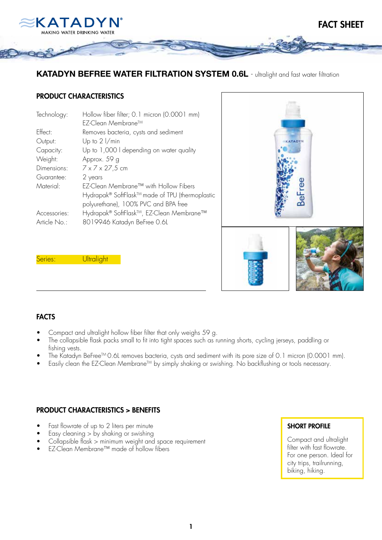

## KATADYN BEFREE WATER FILTRATION SYSTEM 0.6L - ultralight and fast water filtration

#### PRODUCT CHARACTERISTICS

| Technology:  | Hollow fiber filter; 0.1 micron (0.0001 mm)     |
|--------------|-------------------------------------------------|
|              | EZ-Clean Membrane™                              |
| Effect:      | Removes bacteria, cysts and sediment            |
| Output:      | Up to $2 \frac{1}{min}$                         |
| Capacity:    | Up to 1,000 I depending on water quality        |
| Weight:      | Approx. 59 g                                    |
| Dimensions:  | $7 \times 7 \times 27,5$ cm                     |
| Guarantee:   | 2 years                                         |
| Material:    | EZ-Clean Membrane™ with Hollow Fibers           |
|              | Hydrapak® SoftFlask™ made of TPU (thermoplastic |
|              | polyurethane), 100% PVC and BPA free            |
| Accessories: | Hydrapak® SoftFlask™, EZ-Clean Membrane™        |
| Article No.: | 8019946 Katadyn BeFree 0.6L                     |



Series: **Ultralight** 

#### FACTS

- Compact and ultralight hollow fiber filter that only weighs 59 g.
- The collapsible flask packs small to fit into tight spaces such as running shorts, cycling jerseys, paddling or fishing vests.
- The Katadyn BeFree™ 0.6L removes bacteria, cysts and sediment with its pore size of 0.1 micron (0.0001 mm).
- Easily clean the EZ-Clean Membrane<sup>TM</sup> by simply shaking or swishing. No backflushing or tools necessary.

#### PRODUCT CHARACTERISTICS > BENEFITS

- Fast flowrate of up to 2 liters per minute
- Easy cleaning  $>$  by shaking or swishing
- $\frac{1}{2}$  Collapsible flask  $\frac{1}{2}$  minimum weight and space requirement
- EZ-Clean Membrane™ made of hollow fibers

#### SHORT PROFILE

Compact and ultralight filter with fast flowrate. For one person. Ideal for city trips, trailrunning, biking, hiking.